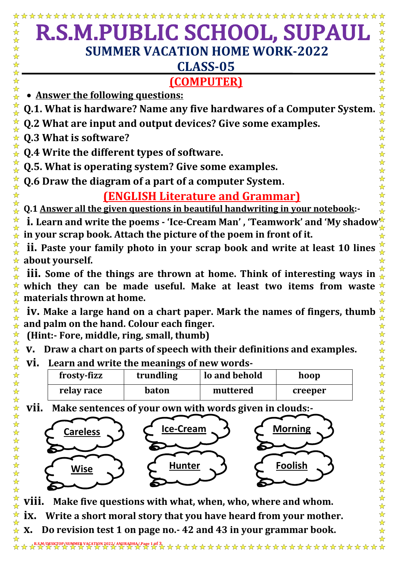| R.S.M.PUBLIC SCHOOL, SUPAUL<br>公公<br>$\frac{1}{\sqrt{2}}$                                                                                                                                     |           |               |         |                                                              |  |
|-----------------------------------------------------------------------------------------------------------------------------------------------------------------------------------------------|-----------|---------------|---------|--------------------------------------------------------------|--|
| <b>SUMMER VACATION HOME WORK-2022</b>                                                                                                                                                         |           |               |         |                                                              |  |
| <b>CLASS-05</b>                                                                                                                                                                               |           |               |         |                                                              |  |
| <b>(COMPUTER)</b>                                                                                                                                                                             |           |               |         |                                                              |  |
| Answer the following questions:                                                                                                                                                               |           |               |         |                                                              |  |
| Q.1. What is hardware? Name any five hardwares of a Computer System.                                                                                                                          |           |               |         |                                                              |  |
| Q.2 What are input and output devices? Give some examples.<br>$\frac{1}{\sqrt{2}}$                                                                                                            |           |               |         |                                                              |  |
| Q.3 What is software?<br>$\frac{1}{\sqrt{2}}$<br>☆<br>$\frac{1}{\mathbf{k}^{\prime}}$                                                                                                         |           |               |         |                                                              |  |
| $\hat{\star}$ Q.4 Write the different types of software.                                                                                                                                      |           |               |         |                                                              |  |
| ☆<br>Q.5. What is operating system? Give some examples.<br>$\frac{1}{\mathbf{k}}$                                                                                                             |           |               |         |                                                              |  |
| **<br>Q.6 Draw the diagram of a part of a computer System.                                                                                                                                    |           |               |         |                                                              |  |
| ☆<br><b>(ENGLISH Literature and Grammar)</b>                                                                                                                                                  |           |               |         |                                                              |  |
| ☆<br>Q.1 Answer all the given questions in beautiful handwriting in your notebook:-<br>$\frac{1}{2}$                                                                                          |           |               |         |                                                              |  |
| ☆☆<br><b>i.</b> Learn and write the poems - 'Ice-Cream Man', 'Teamwork' and 'My shadow <sup>*</sup>                                                                                           |           |               |         |                                                              |  |
| in your scrap book. Attach the picture of the poem in front of it.                                                                                                                            |           |               |         |                                                              |  |
| $\frac{\cancel{r}}{\cancel{r}}$<br>ii. Paste your family photo in your scrap book and write at least 10 lines<br>about yourself.<br>☆                                                         |           |               |         |                                                              |  |
| ☆<br>iii. Some of the things are thrown at home. Think of interesting ways in $\frac{1}{2}$                                                                                                   |           |               |         |                                                              |  |
| which they can be made useful. Make at least two items from waste<br>☆                                                                                                                        |           |               |         |                                                              |  |
| $\frac{1}{\mathcal{N}}$<br>$\frac{\partial}{\partial x}$ materials thrown at home.                                                                                                            |           |               |         |                                                              |  |
| ☆<br>iv. Make a large hand on a chart paper. Mark the names of fingers, thumb<br>M<br>$\frac{\lambda}{\lambda}$<br>☆                                                                          |           |               |         |                                                              |  |
| and palm on the hand. Colour each finger.<br>$\frac{1}{\mathbf{k}^{\prime}}$<br>☆<br>☆<br>$\frac{1}{\sqrt{2}}$                                                                                |           |               |         |                                                              |  |
| (Hint:- Fore, middle, ring, small, thumb)<br>$\frac{1}{\mathbf{k}^{\prime}}$<br>$\frac{1}{\mathbf{k}^{\prime}}$<br>Draw a chart on parts of speech with their definitions and examples.<br>V. |           |               |         |                                                              |  |
| $\frac{\lambda}{\lambda}$<br>$\frac{1}{\mathbf{k}}$<br>$\frac{1}{\mathbf{k}}$<br>$\frac{1}{\mathbf{k}}$<br>Learn and write the meanings of new words-<br>VI.                                  |           |               |         |                                                              |  |
| $\frac{1}{\mathbf{k}^{\prime}}$<br>☆<br>frosty-fizz                                                                                                                                           | trundling | lo and behold | hoop    | $\frac{1}{\mathbf{k}^{\prime}}$<br>$\frac{\lambda}{\lambda}$ |  |
| $\frac{1}{\mathbf{k}^{\prime}}$<br>relay race<br>$\frac{1}{\mathbf{k}}$                                                                                                                       | baton     | muttered      | creeper | $\frac{1}{\mathbf{k}^{\prime}}$<br>$\frac{\lambda}{\lambda}$ |  |
| $\frac{1}{\mathbf{k}^{\prime}}$<br>$\frac{1}{\mathbf{k}}$<br>$\frac{1}{\mathbf{k}^{\prime}}$<br>vii.<br>☆<br>Make sentences of your own with words given in clouds:-                          |           |               |         |                                                              |  |
| $\frac{1}{\sqrt{2}}$<br>$\frac{1}{\mathbf{k}}$<br>$\frac{1}{\sqrt{2}}$<br>$\frac{1}{\sqrt{2}}$                                                                                                |           |               |         |                                                              |  |
| <u>Ice-Cream</u><br><b>Morning</b><br><b>Careless</b><br>$\frac{\lambda}{\lambda}$<br>$\frac{1}{2}$<br>$\frac{\lambda}{\lambda}$<br>☆                                                         |           |               |         |                                                              |  |
| $\frac{1}{\sqrt{2}}$<br>$\frac{1}{\sqrt{2}}$<br>$\frac{1}{2}$<br>$\frac{\lambda}{\lambda}$                                                                                                    |           |               |         |                                                              |  |
| <b>Foolish</b><br>$\frac{1}{\sqrt{2}}$<br>☆<br><b>Hunter</b><br><u>Wise</u>                                                                                                                   |           |               |         |                                                              |  |
| ☆<br>$\frac{1}{2}$<br>$\frac{1}{\mathbf{k}^{\prime}}$<br>$\frac{\lambda}{\lambda}$                                                                                                            |           |               |         |                                                              |  |
| $\frac{1}{\mathbf{k}^{\prime}}$<br>☆<br>$\frac{1}{N}$<br>☆<br>Make five questions with what, when, who, where and whom.<br>VIII.                                                              |           |               |         |                                                              |  |
| $\frac{1}{\sqrt{2}}$<br>$\frac{1}{\sqrt{2}}$<br>$\frac{1}{\sqrt{2}}$<br>$\mathbf{\hat{x}}$ iv<br>Write a short moral story that you have heard from your mother                               |           |               |         |                                                              |  |

**ix. Write a short moral story that you have heard from your mother.**

**x. Do revision test 1 on page no.- 42 and 43 in your grammar book.**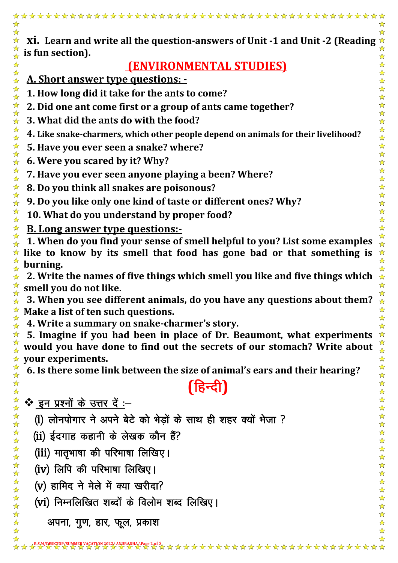☆ **xi. Learn and write all the question-answers of Unit -1 and Unit -2 (Reading**   $\frac{1}{\sqrt{2}}$  $\frac{1}{\mathbf{k}^{\prime}}$ ☆ **is fun section).**  $\frac{1}{\mathcal{N}}$  $\frac{1}{\mathbf{k}^{\prime}}$ **(ENVIRONMENTAL STUDIES)** \*\*\*\*\* **A. Short answer type questions: - 1. How long did it take for the ants to come?** 작 차 : **2. Did one ant come first or a group of ants came together?** 2万公子 **3. What did the ants do with the food? 4. Like snake-charmers, which other people depend on animals for their livelihood?** 计分析文件 **5. Have you ever seen a snake? where? 6. Were you scared by it? Why? 7. Have you ever seen anyone playing a been? Where?** \*\*\*\*\*\*\* **8. Do you think all snakes are poisonous? 9. Do you like only one kind of taste or different ones? Why? 10. What do you understand by proper food? B. Long answer type questions:-**  $\frac{1}{\sqrt{2}}$ **1. When do you find your sense of smell helpful to you? List some examples**   $\frac{1}{\sqrt{2}}$  $\star$  like to know by its smell that food has gone bad or that something is  $\frac{1}{2}$ **burning.** ☆ **2. Write the names of five things which smell you like and five things which smell you do not like.** ☆ **3. When you see different animals, do you have any questions about them? Make a list of ten such questions.**  $\frac{1}{\mathcal{N}}$ **4. Write a summary on snake-charmer's story.**  $\frac{1}{\sqrt{2}}$ **5. Imagine if you had been in place of Dr. Beaumont, what experiments**  ☆ **would you have done to find out the secrets of our stomach? Write about**   $\frac{1}{\sqrt{2}}$ **your experiments.** 卒 **6. Is there some link between the size of animal's ears and their hearing?**  \*\*\*\*\* (हिन्दी)

 $\mathbf{\hat{v}}$  इन प्रश्नों के उत्तर दें :-

☆☆☆☆☆☆☆☆☆☆☆☆☆☆☆☆

 $\frac{1}{\mathbf{k}}$ ☆

(i) लोनपोगार ने अपने बेटे को भेड़ों के साथ ही शहर क्यों भेजा ?

(ii) ईदगाह कहानी के लेखक कौन हैं?

(iii) मातृभाषा की परिभाषा लिखिए।

(iv) लिपि की परिभाषा लिखिए।

(v) हामिद ने मेले में क्या खरीदा?

(vi) निम्नलिखित शब्दों के विलोम शब्द लिखिए।

अपना, गुण, हार, फूल, प्रकाश